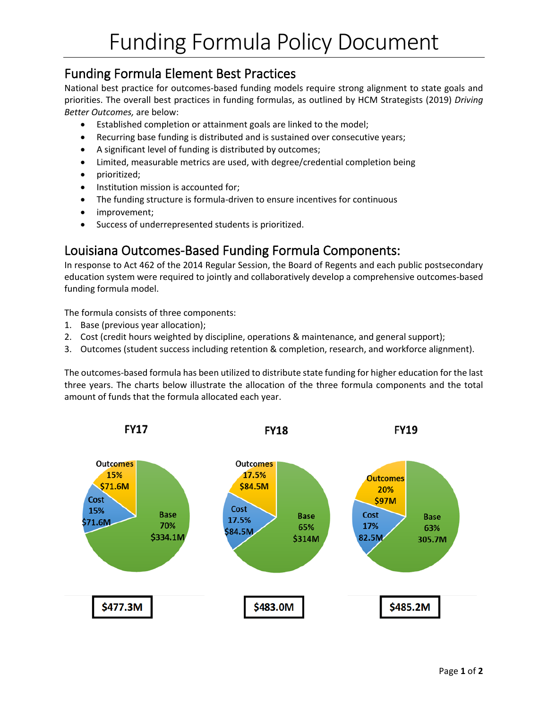## Funding Formula Element Best Practices

National best practice for outcomes-based funding models require strong alignment to state goals and priorities. The overall best practices in funding formulas, as outlined by HCM Strategists (2019) *Driving Better Outcomes,* are below:

- Established completion or attainment goals are linked to the model;
- Recurring base funding is distributed and is sustained over consecutive years;
- A significant level of funding is distributed by outcomes;
- Limited, measurable metrics are used, with degree/credential completion being
- prioritized;
- Institution mission is accounted for;
- The funding structure is formula-driven to ensure incentives for continuous
- improvement;
- Success of underrepresented students is prioritized.

## Louisiana Outcomes-Based Funding Formula Components:

In response to Act 462 of the 2014 Regular Session, the Board of Regents and each public postsecondary education system were required to jointly and collaboratively develop a comprehensive outcomes-based funding formula model.

The formula consists of three components:

- 1. Base (previous year allocation);
- 2. Cost (credit hours weighted by discipline, operations & maintenance, and general support);
- 3. Outcomes (student success including retention & completion, research, and workforce alignment).

The outcomes-based formula has been utilized to distribute state funding for higher education for the last three years. The charts below illustrate the allocation of the three formula components and the total amount of funds that the formula allocated each year.